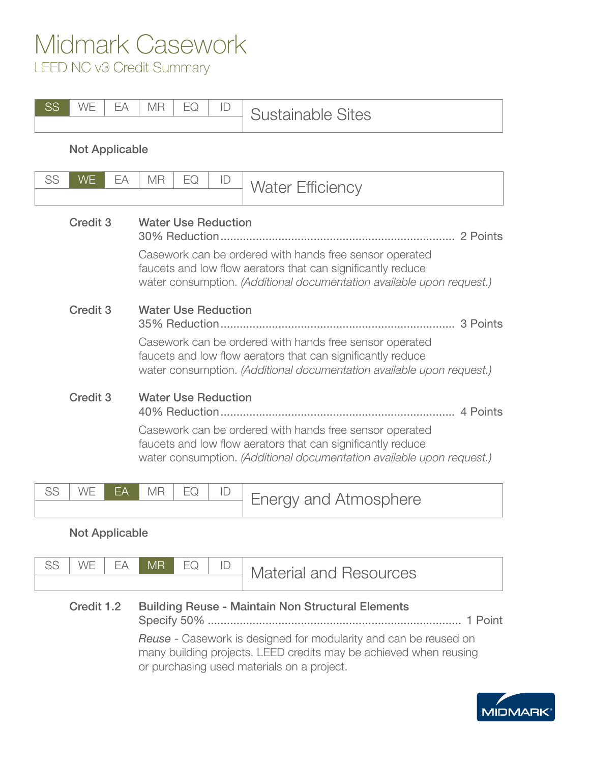## Midmark Casework

LEED NC v3 Credit Summary

| <b>SS</b> | WE<br>EA              | <b>MR</b><br>EQ<br>ID      | <b>Sustainable Sites</b>                                                                                                                                                                        |
|-----------|-----------------------|----------------------------|-------------------------------------------------------------------------------------------------------------------------------------------------------------------------------------------------|
|           | <b>Not Applicable</b> |                            |                                                                                                                                                                                                 |
| SS        | <b>WE</b><br>EA       | <b>MR</b><br>EQ<br>ID      | <b>Water Efficiency</b>                                                                                                                                                                         |
|           | <b>Credit 3</b>       | <b>Water Use Reduction</b> | Casework can be ordered with hands free sensor operated<br>faucets and low flow aerators that can significantly reduce<br>water consumption. (Additional documentation available upon request.) |
|           | Credit <sub>3</sub>   | <b>Water Use Reduction</b> | Casework can be ordered with hands free sensor operated<br>faucets and low flow aerators that can significantly reduce<br>water consumption. (Additional documentation available upon request.) |
|           | <b>Credit 3</b>       | <b>Water Use Reduction</b> | Casework can be ordered with hands free sensor operated<br>faucets and low flow aerators that can significantly reduce<br>water consumption. (Additional documentation available upon request.) |
| SS        | <b>WE</b><br>EA       | <b>MR</b><br>EQ<br>ID      | Energy and Atmosphere                                                                                                                                                                           |

### Not Applicable

| CC | WF | FΔ | MR | EQ | ID | <b>Material and Resources</b> |
|----|----|----|----|----|----|-------------------------------|
|    |    |    |    |    |    |                               |

### Credit 1.2 Building Reuse - Maintain Non Structural Elements Specify 50% ............................................................................... 1 Point

*Reuse* - Casework is designed for modularity and can be reused on many building projects. LEED credits may be achieved when reusing or purchasing used materials on a project.

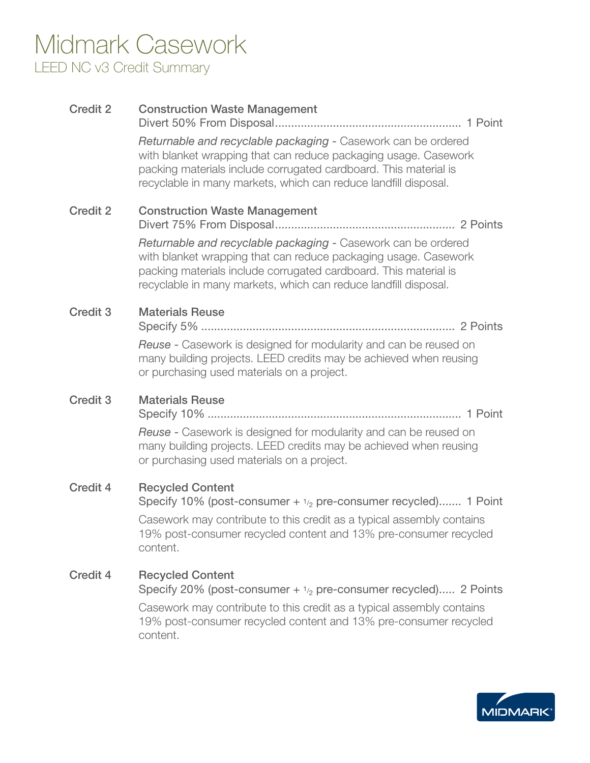## Midmark Casework LEED NC v3 Credit Summary

| <b>Credit 2</b> | <b>Construction Waste Management</b>                                                                                                                                                                                                                                    |
|-----------------|-------------------------------------------------------------------------------------------------------------------------------------------------------------------------------------------------------------------------------------------------------------------------|
|                 | Returnable and recyclable packaging - Casework can be ordered<br>with blanket wrapping that can reduce packaging usage. Casework<br>packing materials include corrugated cardboard. This material is<br>recyclable in many markets, which can reduce landfill disposal. |
| <b>Credit 2</b> | <b>Construction Waste Management</b>                                                                                                                                                                                                                                    |
|                 | Returnable and recyclable packaging - Casework can be ordered<br>with blanket wrapping that can reduce packaging usage. Casework<br>packing materials include corrugated cardboard. This material is<br>recyclable in many markets, which can reduce landfill disposal. |
| <b>Credit 3</b> | <b>Materials Reuse</b>                                                                                                                                                                                                                                                  |
|                 | Reuse - Casework is designed for modularity and can be reused on<br>many building projects. LEED credits may be achieved when reusing<br>or purchasing used materials on a project.                                                                                     |
| <b>Credit 3</b> | <b>Materials Reuse</b>                                                                                                                                                                                                                                                  |
|                 | Reuse - Casework is designed for modularity and can be reused on<br>many building projects. LEED credits may be achieved when reusing<br>or purchasing used materials on a project.                                                                                     |
| <b>Credit 4</b> | <b>Recycled Content</b><br>Specify 10% (post-consumer $+$ $1/2$ pre-consumer recycled) 1 Point                                                                                                                                                                          |
|                 | Casework may contribute to this credit as a typical assembly contains<br>19% post-consumer recycled content and 13% pre-consumer recycled<br>content.                                                                                                                   |
| <b>Credit 4</b> | <b>Recycled Content</b><br>Specify 20% (post-consumer $+$ $1/2$ pre-consumer recycled) 2 Points                                                                                                                                                                         |
|                 | Casework may contribute to this credit as a typical assembly contains<br>19% post-consumer recycled content and 13% pre-consumer recycled<br>content.                                                                                                                   |
|                 |                                                                                                                                                                                                                                                                         |